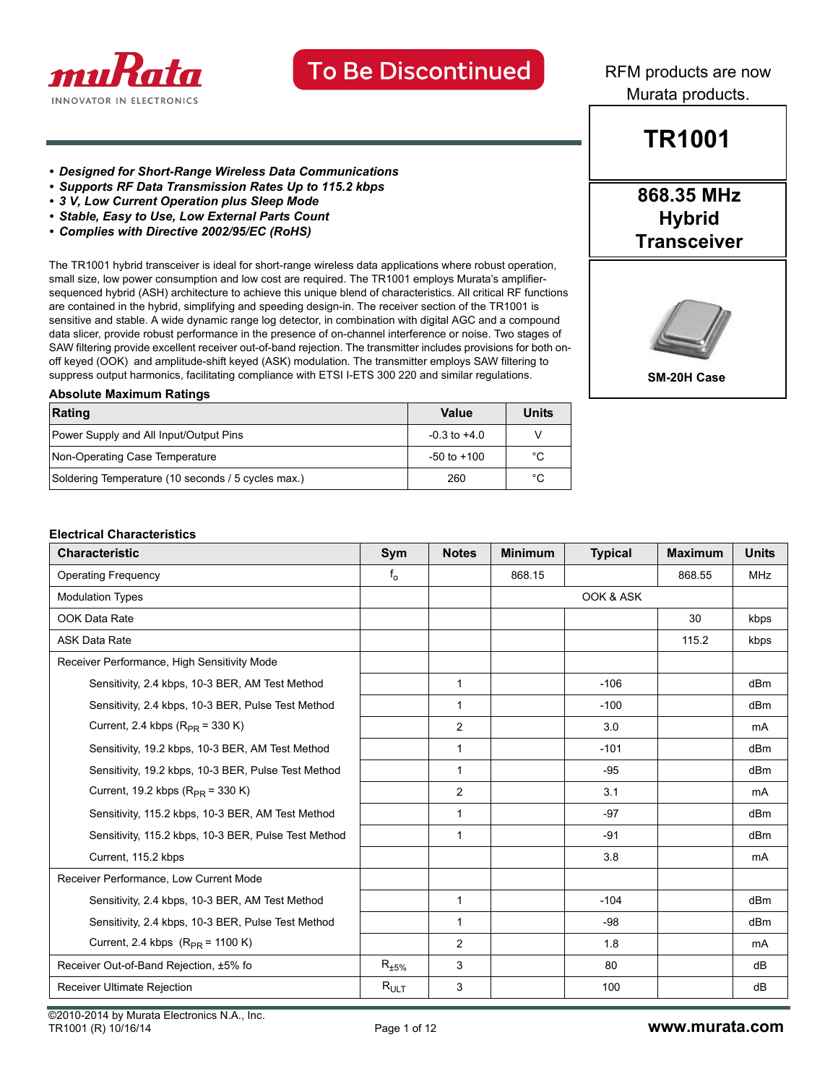

RFM products are now Murata products.

**TR1001**

**868.35 MHz Hybrid Transceiver**

#### *• Designed for Short-Range Wireless Data Communications*

- *Supports RF Data Transmission Rates Up to 115.2 kbps*
- *3 V, Low Current Operation plus Sleep Mode*
- *Stable, Easy to Use, Low External Parts Count*
- *Complies with Directive 2002/95/EC (RoHS)*

The TR1001 hybrid transceiver is ideal for short-range wireless data applications where robust operation, small size, low power consumption and low cost are required. The TR1001 employs Murata's amplifiersequenced hybrid (ASH) architecture to achieve this unique blend of characteristics. All critical RF functions are contained in the hybrid, simplifying and speeding design-in. The receiver section of the TR1001 is sensitive and stable. A wide dynamic range log detector, in combination with digital AGC and a compound data slicer, provide robust performance in the presence of on-channel interference or noise. Two stages of SAW filtering provide excellent receiver out-of-band rejection. The transmitter includes provisions for both onoff keyed (OOK) and amplitude-shift keyed (ASK) modulation. The transmitter employs SAW filtering to suppress output harmonics, facilitating compliance with ETSI I-ETS 300 220 and similar regulations.



**SM-20H Case** 

**Absolute Maximum Ratings**

| Rating                                             | Value            | Units |
|----------------------------------------------------|------------------|-------|
| Power Supply and All Input/Output Pins             | $-0.3$ to $+4.0$ |       |
| Non-Operating Case Temperature                     | $-50$ to $+100$  | °C    |
| Soldering Temperature (10 seconds / 5 cycles max.) | 260              | °C    |

#### **Electrical Characteristics**

| <b>Characteristic</b>                                | Sym                    | <b>Notes</b>   | <b>Minimum</b> | <b>Typical</b> | <b>Maximum</b> | <b>Units</b>    |
|------------------------------------------------------|------------------------|----------------|----------------|----------------|----------------|-----------------|
| <b>Operating Frequency</b>                           | $f_{\rm o}$            |                | 868.15         |                | 868.55         | <b>MHz</b>      |
| <b>Modulation Types</b>                              |                        |                |                | OOK & ASK      |                |                 |
| OOK Data Rate                                        |                        |                |                |                | 30             | kbps            |
| <b>ASK Data Rate</b>                                 |                        |                |                |                | 115.2          | kbps            |
| Receiver Performance, High Sensitivity Mode          |                        |                |                |                |                |                 |
| Sensitivity, 2.4 kbps, 10-3 BER, AM Test Method      |                        | $\mathbf{1}$   |                | $-106$         |                | dB <sub>m</sub> |
| Sensitivity, 2.4 kbps, 10-3 BER, Pulse Test Method   |                        | $\mathbf{1}$   |                | $-100$         |                | dBm             |
| Current, 2.4 kbps $(R_{PR} = 330 K)$                 |                        | 2              |                | 3.0            |                | mA              |
| Sensitivity, 19.2 kbps, 10-3 BER, AM Test Method     |                        | 1              |                | $-101$         |                | dB <sub>m</sub> |
| Sensitivity, 19.2 kbps, 10-3 BER, Pulse Test Method  |                        | $\mathbf{1}$   |                | $-95$          |                | dBm             |
| Current, 19.2 kbps ( $R_{PR}$ = 330 K)               |                        | 2              |                | 3.1            |                | <b>mA</b>       |
| Sensitivity, 115.2 kbps, 10-3 BER, AM Test Method    |                        | $\mathbf{1}$   |                | $-97$          |                | dBm             |
| Sensitivity, 115.2 kbps, 10-3 BER, Pulse Test Method |                        | $\mathbf 1$    |                | -91            |                | dB <sub>m</sub> |
| Current, 115.2 kbps                                  |                        |                |                | 3.8            |                | mA              |
| Receiver Performance, Low Current Mode               |                        |                |                |                |                |                 |
| Sensitivity, 2.4 kbps, 10-3 BER, AM Test Method      |                        | $\mathbf{1}$   |                | $-104$         |                | dBm             |
| Sensitivity, 2.4 kbps, 10-3 BER, Pulse Test Method   |                        | $\mathbf{1}$   |                | -98            |                | dBm             |
| Current, 2.4 kbps $(R_{PR} = 1100 K)$                |                        | $\overline{2}$ |                | 1.8            |                | mA              |
| Receiver Out-of-Band Rejection, ±5% fo               | $\mathsf{R}_{\pm 5\%}$ | 3              |                | 80             |                | dB              |
| <b>Receiver Ultimate Rejection</b>                   | $R_{ULT}$              | 3              |                | 100            |                | dB              |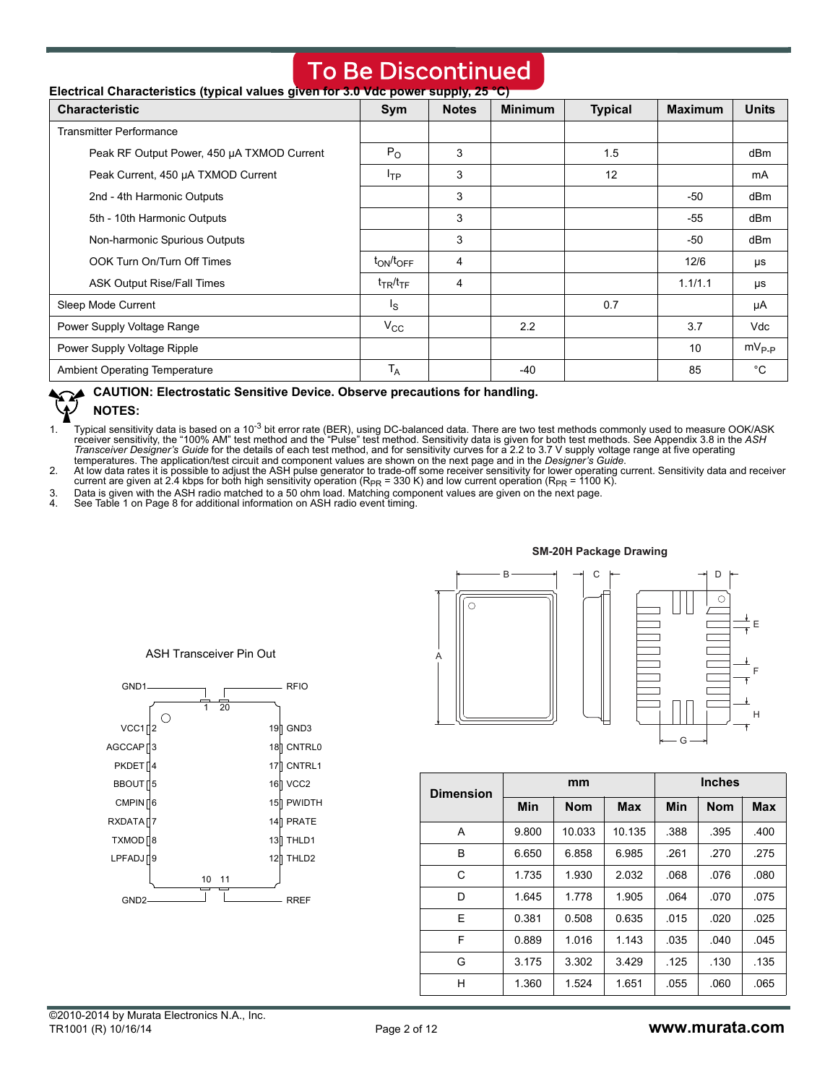| <b>Characteristic</b>                      | Sym              | <b>Notes</b>   | <b>Minimum</b> | <b>Typical</b> | <b>Maximum</b> | <b>Units</b>    |
|--------------------------------------------|------------------|----------------|----------------|----------------|----------------|-----------------|
| <b>Transmitter Performance</b>             |                  |                |                |                |                |                 |
| Peak RF Output Power, 450 µA TXMOD Current | $P_{O}$          | 3              |                | 1.5            |                | dB <sub>m</sub> |
| Peak Current, 450 µA TXMOD Current         | $I_{TP}$         | 3              |                | 12             |                | mA              |
| 2nd - 4th Harmonic Outputs                 |                  | 3              |                |                | -50            | dB <sub>m</sub> |
| 5th - 10th Harmonic Outputs                |                  | 3              |                |                | $-55$          | dB <sub>m</sub> |
| Non-harmonic Spurious Outputs              |                  | 3              |                |                | -50            | dBm             |
| OOK Turn On/Turn Off Times                 | $t_{ON}/t_{OFF}$ | $\overline{4}$ |                |                | 12/6           | $\mu s$         |
| <b>ASK Output Rise/Fall Times</b>          | $t_{TR}/t_{TF}$  | 4              |                |                | 1.1/1.1        | μs              |
| Sleep Mode Current                         | Is               |                |                | 0.7            |                | μA              |
| Power Supply Voltage Range                 | $V_{\rm CC}$     |                | 2.2            |                | 3.7            | Vdc             |
| Power Supply Voltage Ripple                |                  |                |                |                | 10             | $mV_{P-P}$      |
| <b>Ambient Operating Temperature</b>       | $T_A$            |                | $-40$          |                | 85             | $^{\circ}$ C    |

#### **Electrical Characteristics (typical value**

**CAUTION: Electrostatic Sensitive Device. Observe precautions for handling.**

#### **NOTES:**

1. Typical sensitivity data is based on a 10<sup>-3</sup> bit error rate (BER), using DC-balanced data. There are two test methods commonly used to measure OOK/ASK<br>receiver sensitivity, the "100% AM" test method and the "Pulse" te

3. Data is given with the ASH radio matched to a 50 ohm load. Matching component values are given on the next page.

See Table 1 on Page 8 for additional information on ASH radio event timing.



| <b>Dimension</b> |            | mm         |            | <b>Inches</b> |            |            |
|------------------|------------|------------|------------|---------------|------------|------------|
|                  | <b>Min</b> | <b>Nom</b> | <b>Max</b> | Min           | <b>Nom</b> | <b>Max</b> |
| A                | 9.800      | 10.033     | 10.135     | .388          | .395       | .400       |
| B                | 6.650      | 6.858      | 6.985      | .261          | .270       | .275       |
| C                | 1.735      | 1.930      | 2.032      | .068          | .076       | .080       |
| D                | 1.645      | 1.778      | 1.905      | .064          | .070       | .075       |
| E                | 0.381      | 0.508      | 0.635      | .015          | .020       | .025       |
| F                | 0.889      | 1.016      | 1.143      | .035          | .040       | .045       |
| G                | 3.175      | 3.302      | 3.429      | .125          | .130       | .135       |
| н                | 1.360      | 1.524      | 1.651      | .055          | .060       | .065       |

#### ASH Transceiver Pin Out

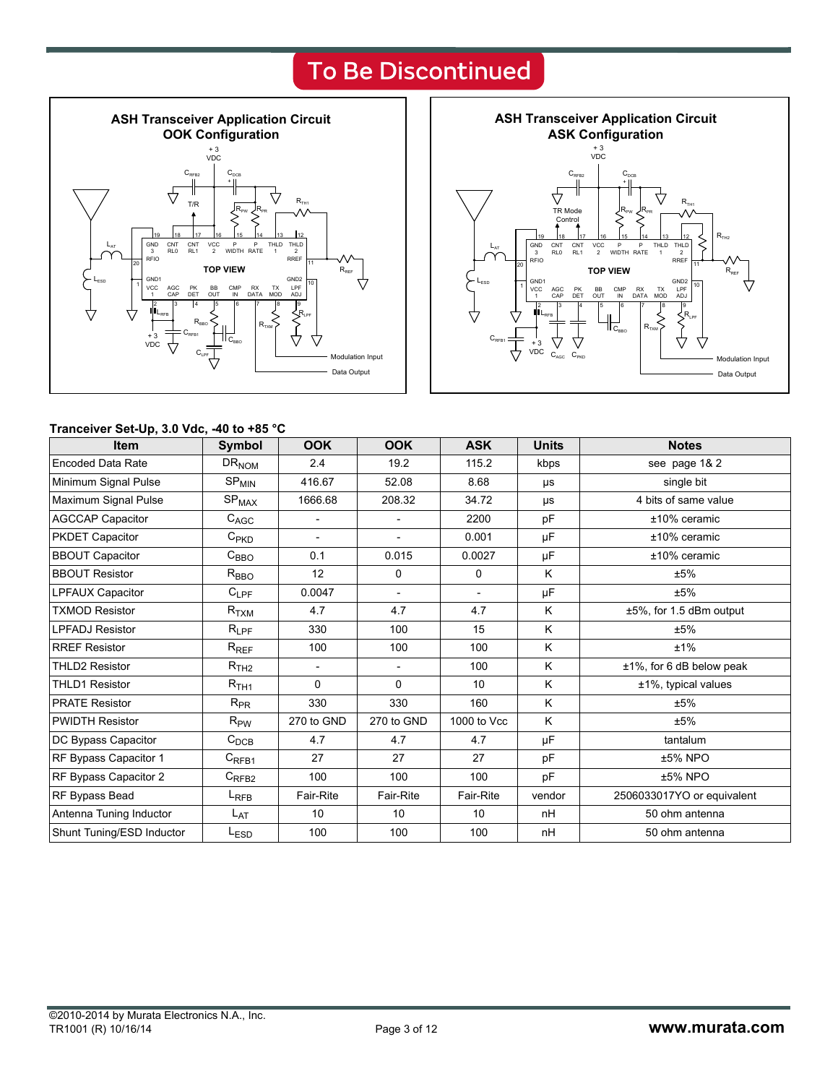



#### **Tranceiver Set-Up, 3.0 Vdc, -40 to +85 °C**

| <b>Item</b>               | Symbol             | <b>OOK</b>               | <b>OOK</b>               | <b>ASK</b>     | <b>Units</b> | <b>Notes</b>                 |
|---------------------------|--------------------|--------------------------|--------------------------|----------------|--------------|------------------------------|
| <b>Encoded Data Rate</b>  | $DR_{NOM}$         | 2.4                      | 19.2                     | 115.2          | kbps         | see page 1& 2                |
| Minimum Signal Pulse      | $SP_{MIN}$         | 416.67                   | 52.08                    | 8.68           | μs           | single bit                   |
| Maximum Signal Pulse      | SP <sub>MAX</sub>  | 1666.68                  | 208.32                   | 34.72          | μs           | 4 bits of same value         |
| <b>AGCCAP Capacitor</b>   | $C_{AGC}$          |                          |                          | 2200           | pF           | $±10\%$ ceramic              |
| <b>PKDET Capacitor</b>    | $C_{PKD}$          | $\blacksquare$           |                          | 0.001          | μF           | $±10\%$ ceramic              |
| <b>BBOUT Capacitor</b>    | $C_{\mathsf{BBO}}$ | 0.1                      | 0.015                    | 0.0027         | μF           | $±10\%$ ceramic              |
| <b>BBOUT Resistor</b>     | $R_{\text{BBO}}$   | 12                       | 0                        | 0              | K            | ±5%                          |
| LPFAUX Capacitor          | $C_{LPF}$          | 0.0047                   | $\overline{\phantom{a}}$ | $\blacksquare$ | μF           | ±5%                          |
| <b>TXMOD Resistor</b>     | $R_{TXM}$          | 4.7                      | 4.7                      | 4.7            | K            | ±5%, for 1.5 dBm output      |
| <b>LPFADJ Resistor</b>    | $R_{\mathsf{LPF}}$ | 330                      | 100                      | 15             | K            | ±5%                          |
| <b>RREF Resistor</b>      | $R_{REF}$          | 100                      | 100                      | 100            | K            | ±1%                          |
| <b>THLD2 Resistor</b>     | R <sub>TH2</sub>   | $\overline{\phantom{a}}$ |                          | 100            | K            | $±1\%$ , for 6 dB below peak |
| <b>THLD1 Resistor</b>     | R <sub>TH1</sub>   | 0                        | $\mathbf{0}$             | 10             | K            | $±1\%$ , typical values      |
| <b>PRATE Resistor</b>     | $R_{PR}$           | 330                      | 330                      | 160            | K            | ±5%                          |
| <b>PWIDTH Resistor</b>    | $R_{\mathsf{PW}}$  | 270 to GND               | 270 to GND               | 1000 to Vcc    | K            | ±5%                          |
| DC Bypass Capacitor       | $C_{DCB}$          | 4.7                      | 4.7                      | 4.7            | μF           | tantalum                     |
| RF Bypass Capacitor 1     | $C_{RFB1}$         | 27                       | 27                       | 27             | pF           | ±5% NPO                      |
| RF Bypass Capacitor 2     | $C_{RFB2}$         | 100                      | 100                      | 100            | pF           | ±5% NPO                      |
| RF Bypass Bead            | $L_{RFB}$          | Fair-Rite                | Fair-Rite                | Fair-Rite      | vendor       | 2506033017YO or equivalent   |
| Antenna Tuning Inductor   | $L_{\text{AT}}$    | 10                       | 10                       | 10             | nH           | 50 ohm antenna               |
| Shunt Tuning/ESD Inductor | L <sub>ESD</sub>   | 100                      | 100                      | 100            | nH           | 50 ohm antenna               |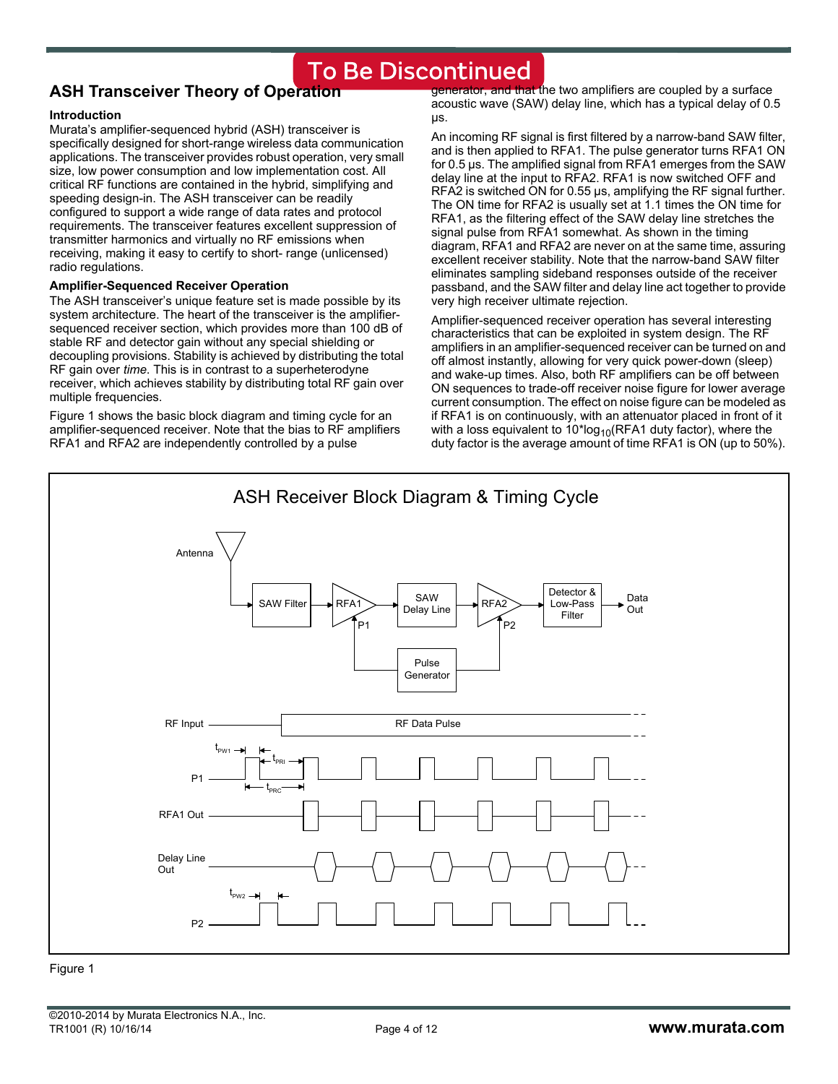### **ASH Transceiver Theory of Operation**

#### **Introduction**

Murata's amplifier-sequenced hybrid (ASH) transceiver is specifically designed for short-range wireless data communication applications. The transceiver provides robust operation, very small size, low power consumption and low implementation cost. All critical RF functions are contained in the hybrid, simplifying and speeding design-in. The ASH transceiver can be readily configured to support a wide range of data rates and protocol requirements. The transceiver features excellent suppression of transmitter harmonics and virtually no RF emissions when receiving, making it easy to certify to short- range (unlicensed) radio regulations.

#### **Amplifier-Sequenced Receiver Operation**

The ASH transceiver's unique feature set is made possible by its system architecture. The heart of the transceiver is the amplifiersequenced receiver section, which provides more than 100 dB of stable RF and detector gain without any special shielding or decoupling provisions. Stability is achieved by distributing the total RF gain over *time*. This is in contrast to a superheterodyne receiver, which achieves stability by distributing total RF gain over multiple frequencies.

Figure 1 shows the basic block diagram and timing cycle for an amplifier-sequenced receiver. Note that the bias to RF amplifiers RFA1 and RFA2 are independently controlled by a pulse

generator, and that the two amplifiers are coupled by a surface acoustic wave (SAW) delay line, which has a typical delay of 0.5 µs.

An incoming RF signal is first filtered by a narrow-band SAW filter, and is then applied to RFA1. The pulse generator turns RFA1 ON for 0.5 µs. The amplified signal from RFA1 emerges from the SAW delay line at the input to RFA2. RFA1 is now switched OFF and RFA2 is switched ON for 0.55 µs, amplifying the RF signal further. The ON time for RFA2 is usually set at 1.1 times the ON time for RFA1, as the filtering effect of the SAW delay line stretches the signal pulse from RFA1 somewhat. As shown in the timing diagram, RFA1 and RFA2 are never on at the same time, assuring excellent receiver stability. Note that the narrow-band SAW filter eliminates sampling sideband responses outside of the receiver passband, and the SAW filter and delay line act together to provide very high receiver ultimate rejection.

Amplifier-sequenced receiver operation has several interesting characteristics that can be exploited in system design. The RF amplifiers in an amplifier-sequenced receiver can be turned on and off almost instantly, allowing for very quick power-down (sleep) and wake-up times. Also, both RF amplifiers can be off between ON sequences to trade-off receiver noise figure for lower average current consumption. The effect on noise figure can be modeled as if RFA1 is on continuously, with an attenuator placed in front of it with a loss equivalent to  $10*log_{10}(RFA1$  duty factor), where the duty factor is the average amount of time RFA1 is ON (up to 50%).



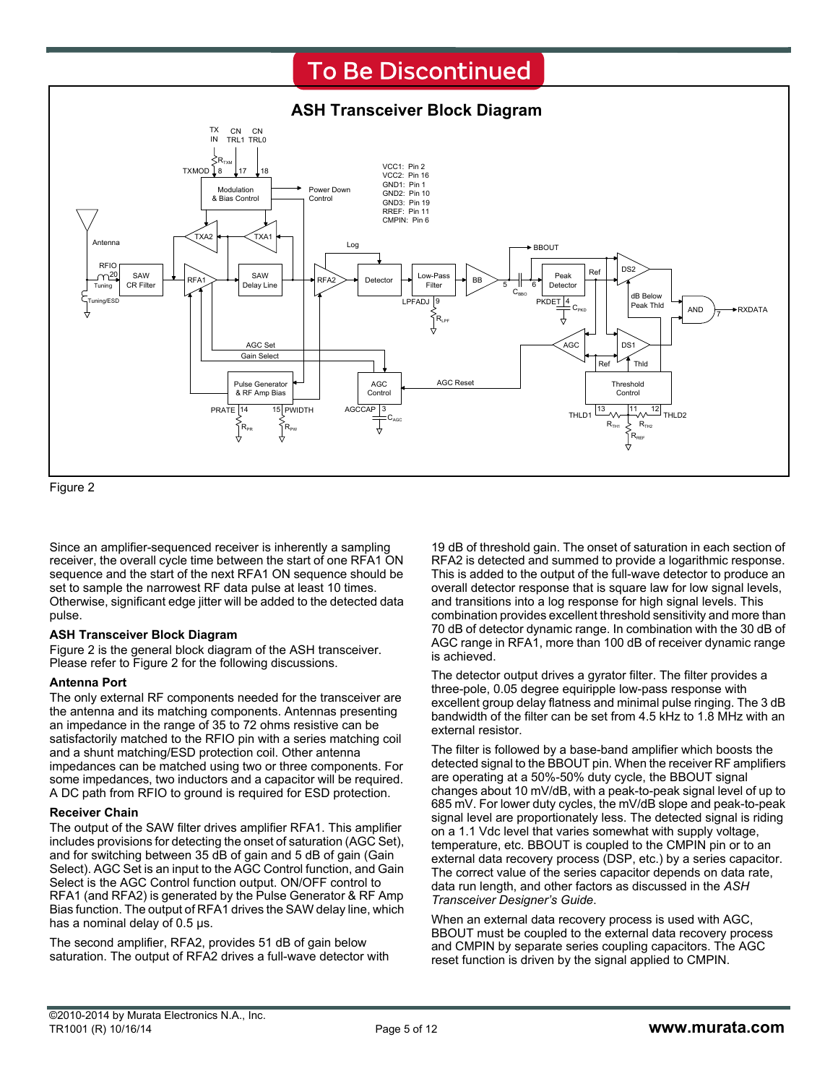

Figure 2

Since an amplifier-sequenced receiver is inherently a sampling receiver, the overall cycle time between the start of one RFA1 ON sequence and the start of the next RFA1 ON sequence should be set to sample the narrowest RF data pulse at least 10 times. Otherwise, significant edge jitter will be added to the detected data pulse.

#### **ASH Transceiver Block Diagram**

Figure 2 is the general block diagram of the ASH transceiver. Please refer to Figure 2 for the following discussions.

#### **Antenna Port**

The only external RF components needed for the transceiver are the antenna and its matching components. Antennas presenting an impedance in the range of 35 to 72 ohms resistive can be satisfactorily matched to the RFIO pin with a series matching coil and a shunt matching/ESD protection coil. Other antenna impedances can be matched using two or three components. For some impedances, two inductors and a capacitor will be required. A DC path from RFIO to ground is required for ESD protection.

#### **Receiver Chain**

The output of the SAW filter drives amplifier RFA1. This amplifier includes provisions for detecting the onset of saturation (AGC Set), and for switching between 35 dB of gain and 5 dB of gain (Gain Select). AGC Set is an input to the AGC Control function, and Gain Select is the AGC Control function output. ON/OFF control to RFA1 (and RFA2) is generated by the Pulse Generator & RF Amp Bias function. The output of RFA1 drives the SAW delay line, which has a nominal delay of 0.5  $\mu$ s.

The second amplifier, RFA2, provides 51 dB of gain below saturation. The output of RFA2 drives a full-wave detector with

19 dB of threshold gain. The onset of saturation in each section of RFA2 is detected and summed to provide a logarithmic response. This is added to the output of the full-wave detector to produce an overall detector response that is square law for low signal levels, and transitions into a log response for high signal levels. This combination provides excellent threshold sensitivity and more than 70 dB of detector dynamic range. In combination with the 30 dB of AGC range in RFA1, more than 100 dB of receiver dynamic range is achieved.

The detector output drives a gyrator filter. The filter provides a three-pole, 0.05 degree equiripple low-pass response with excellent group delay flatness and minimal pulse ringing. The 3 dB bandwidth of the filter can be set from 4.5 kHz to 1.8 MHz with an external resistor.

The filter is followed by a base-band amplifier which boosts the detected signal to the BBOUT pin. When the receiver RF amplifiers are operating at a 50%-50% duty cycle, the BBOUT signal changes about 10 mV/dB, with a peak-to-peak signal level of up to 685 mV. For lower duty cycles, the mV/dB slope and peak-to-peak signal level are proportionately less. The detected signal is riding on a 1.1 Vdc level that varies somewhat with supply voltage, temperature, etc. BBOUT is coupled to the CMPIN pin or to an external data recovery process (DSP, etc.) by a series capacitor. The correct value of the series capacitor depends on data rate, data run length, and other factors as discussed in the *ASH Transceiver Designer's Guide*.

When an external data recovery process is used with AGC, BBOUT must be coupled to the external data recovery process and CMPIN by separate series coupling capacitors. The AGC reset function is driven by the signal applied to CMPIN.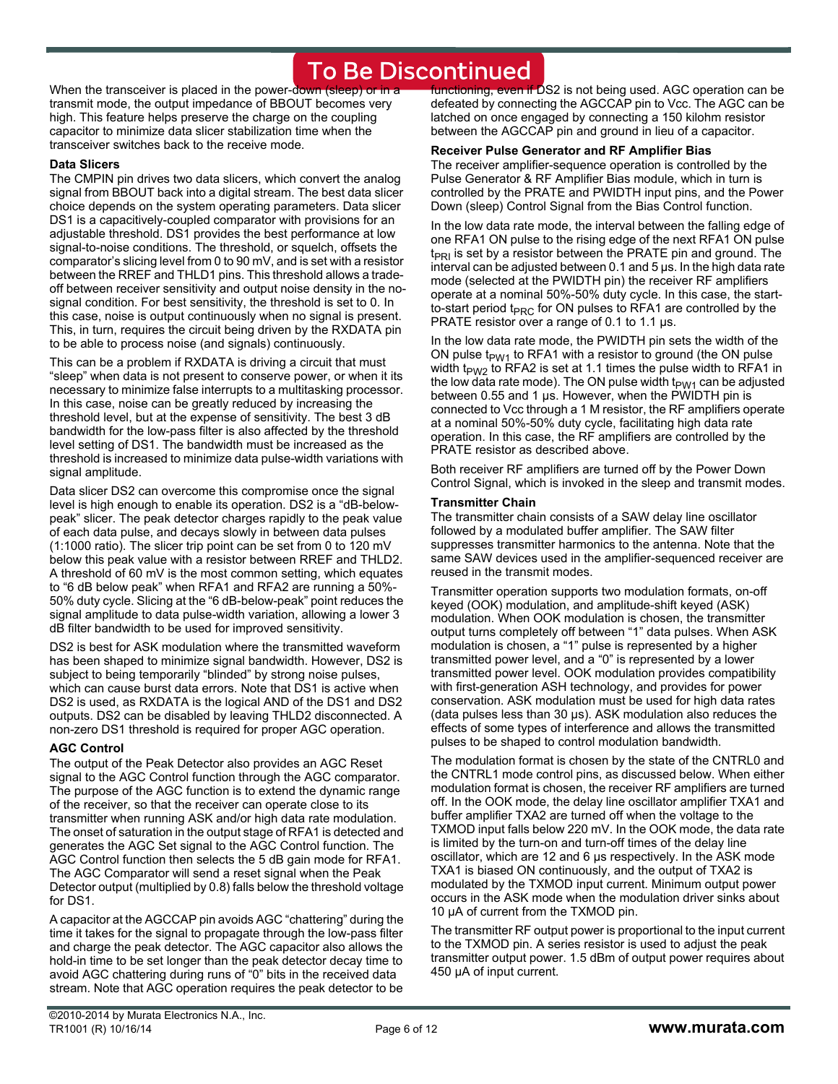When the transceiver is placed in the power-down (sleep) or transmit mode, the output impedance of BBOUT becomes very high. This feature helps preserve the charge on the coupling capacitor to minimize data slicer stabilization time when the transceiver switches back to the receive mode.

#### **Data Slicers**

The CMPIN pin drives two data slicers, which convert the analog signal from BBOUT back into a digital stream. The best data slicer choice depends on the system operating parameters. Data slicer DS1 is a capacitively-coupled comparator with provisions for an adjustable threshold. DS1 provides the best performance at low signal-to-noise conditions. The threshold, or squelch, offsets the comparator's slicing level from 0 to 90 mV, and is set with a resistor between the RREF and THLD1 pins. This threshold allows a tradeoff between receiver sensitivity and output noise density in the nosignal condition. For best sensitivity, the threshold is set to 0. In this case, noise is output continuously when no signal is present. This, in turn, requires the circuit being driven by the RXDATA pin to be able to process noise (and signals) continuously.

This can be a problem if RXDATA is driving a circuit that must "sleep" when data is not present to conserve power, or when it its necessary to minimize false interrupts to a multitasking processor. In this case, noise can be greatly reduced by increasing the threshold level, but at the expense of sensitivity. The best 3 dB bandwidth for the low-pass filter is also affected by the threshold level setting of DS1. The bandwidth must be increased as the threshold is increased to minimize data pulse-width variations with signal amplitude.

Data slicer DS2 can overcome this compromise once the signal level is high enough to enable its operation. DS2 is a "dB-belowpeak" slicer. The peak detector charges rapidly to the peak value of each data pulse, and decays slowly in between data pulses (1:1000 ratio). The slicer trip point can be set from 0 to 120 mV below this peak value with a resistor between RREF and THLD2. A threshold of 60 mV is the most common setting, which equates to "6 dB below peak" when RFA1 and RFA2 are running a 50%- 50% duty cycle. Slicing at the "6 dB-below-peak" point reduces the signal amplitude to data pulse-width variation, allowing a lower 3 dB filter bandwidth to be used for improved sensitivity.

DS2 is best for ASK modulation where the transmitted waveform has been shaped to minimize signal bandwidth. However, DS2 is subject to being temporarily "blinded" by strong noise pulses, which can cause burst data errors. Note that DS1 is active when DS2 is used, as RXDATA is the logical AND of the DS1 and DS2 outputs. DS2 can be disabled by leaving THLD2 disconnected. A non-zero DS1 threshold is required for proper AGC operation.

#### **AGC Control**

The output of the Peak Detector also provides an AGC Reset signal to the AGC Control function through the AGC comparator. The purpose of the AGC function is to extend the dynamic range of the receiver, so that the receiver can operate close to its transmitter when running ASK and/or high data rate modulation. The onset of saturation in the output stage of RFA1 is detected and generates the AGC Set signal to the AGC Control function. The AGC Control function then selects the 5 dB gain mode for RFA1. The AGC Comparator will send a reset signal when the Peak Detector output (multiplied by 0.8) falls below the threshold voltage for DS1.

A capacitor at the AGCCAP pin avoids AGC "chattering" during the time it takes for the signal to propagate through the low-pass filter and charge the peak detector. The AGC capacitor also allows the hold-in time to be set longer than the peak detector decay time to avoid AGC chattering during runs of "0" bits in the received data stream. Note that AGC operation requires the peak detector to be

functioning, even if DS2 is not being used. AGC operation can be defeated by connecting the AGCCAP pin to Vcc. The AGC can be latched on once engaged by connecting a 150 kilohm resistor between the AGCCAP pin and ground in lieu of a capacitor.

#### **Receiver Pulse Generator and RF Amplifier Bias**

The receiver amplifier-sequence operation is controlled by the Pulse Generator & RF Amplifier Bias module, which in turn is controlled by the PRATE and PWIDTH input pins, and the Power Down (sleep) Control Signal from the Bias Control function.

In the low data rate mode, the interval between the falling edge of one RFA1 ON pulse to the rising edge of the next RFA1 ON pulse  $t_{PRI}$  is set by a resistor between the PRATE pin and ground. The interval can be adjusted between 0.1 and 5 µs. In the high data rate mode (selected at the PWIDTH pin) the receiver RF amplifiers operate at a nominal 50%-50% duty cycle. In this case, the startto-start period t<sub>PRC</sub> for ON pulses to RFA1 are controlled by the PRATE resistor over a range of 0.1 to 1.1  $\mu$ s.

In the low data rate mode, the PWIDTH pin sets the width of the ON pulse  $t_{PW1}$  to RFA1 with a resistor to ground (the ON pulse width t<sub>PW2</sub> to RFA2 is set at 1.1 times the pulse width to RFA1 in the low data rate mode). The ON pulse width  $t_{PW1}$  can be adjusted between 0.55 and 1 µs. However, when the PWIDTH pin is connected to Vcc through a 1 M resistor, the RF amplifiers operate at a nominal 50%-50% duty cycle, facilitating high data rate operation. In this case, the RF amplifiers are controlled by the PRATE resistor as described above.

Both receiver RF amplifiers are turned off by the Power Down Control Signal, which is invoked in the sleep and transmit modes.

#### **Transmitter Chain**

The transmitter chain consists of a SAW delay line oscillator followed by a modulated buffer amplifier. The SAW filter suppresses transmitter harmonics to the antenna. Note that the same SAW devices used in the amplifier-sequenced receiver are reused in the transmit modes.

Transmitter operation supports two modulation formats, on-off keyed (OOK) modulation, and amplitude-shift keyed (ASK) modulation. When OOK modulation is chosen, the transmitter output turns completely off between "1" data pulses. When ASK modulation is chosen, a "1" pulse is represented by a higher transmitted power level, and a "0" is represented by a lower transmitted power level. OOK modulation provides compatibility with first-generation ASH technology, and provides for power conservation. ASK modulation must be used for high data rates (data pulses less than 30 µs). ASK modulation also reduces the effects of some types of interference and allows the transmitted pulses to be shaped to control modulation bandwidth.

The modulation format is chosen by the state of the CNTRL0 and the CNTRL1 mode control pins, as discussed below. When either modulation format is chosen, the receiver RF amplifiers are turned off. In the OOK mode, the delay line oscillator amplifier TXA1 and buffer amplifier TXA2 are turned off when the voltage to the TXMOD input falls below 220 mV. In the OOK mode, the data rate is limited by the turn-on and turn-off times of the delay line oscillator, which are 12 and 6 µs respectively. In the ASK mode TXA1 is biased ON continuously, and the output of TXA2 is modulated by the TXMOD input current. Minimum output power occurs in the ASK mode when the modulation driver sinks about 10 µA of current from the TXMOD pin.

The transmitter RF output power is proportional to the input current to the TXMOD pin. A series resistor is used to adjust the peak transmitter output power. 1.5 dBm of output power requires about 450 µA of input current.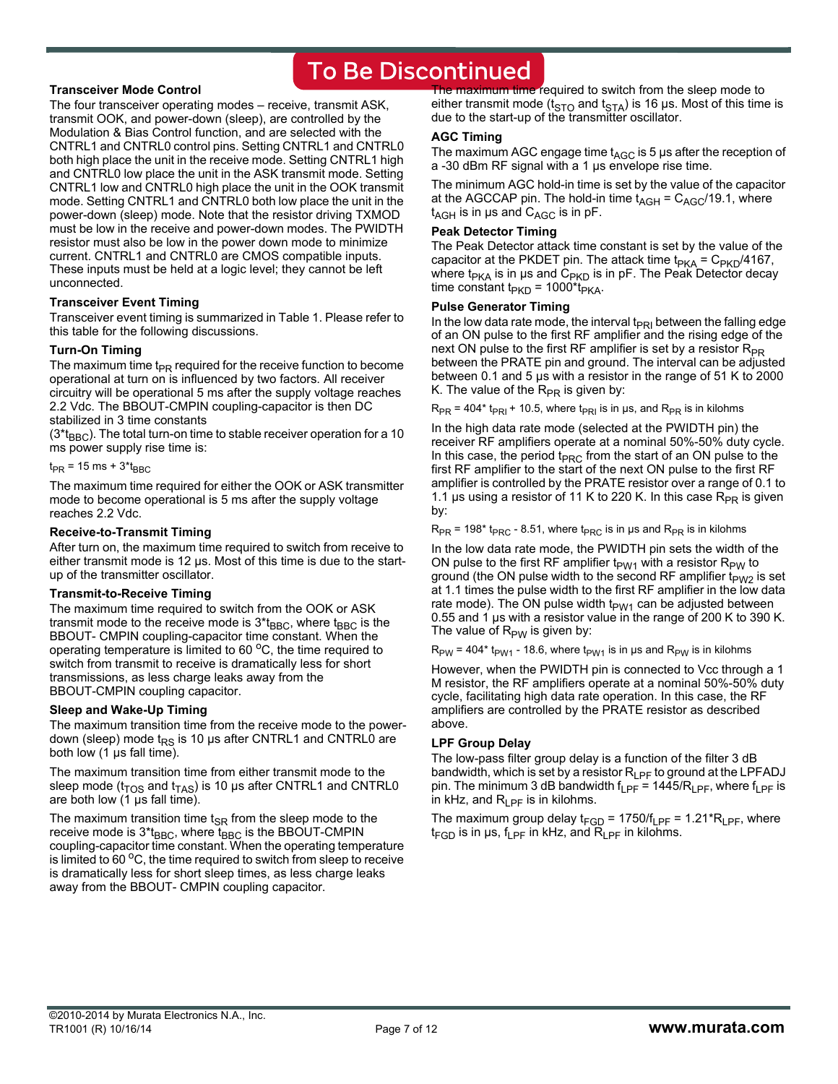#### **Transceiver Mode Control**

The four transceiver operating modes – receive, transmit ASK, transmit OOK, and power-down (sleep), are controlled by the Modulation & Bias Control function, and are selected with the CNTRL1 and CNTRL0 control pins. Setting CNTRL1 and CNTRL0 both high place the unit in the receive mode. Setting CNTRL1 high and CNTRL0 low place the unit in the ASK transmit mode. Setting CNTRL1 low and CNTRL0 high place the unit in the OOK transmit mode. Setting CNTRL1 and CNTRL0 both low place the unit in the power-down (sleep) mode. Note that the resistor driving TXMOD must be low in the receive and power-down modes. The PWIDTH resistor must also be low in the power down mode to minimize current. CNTRL1 and CNTRL0 are CMOS compatible inputs. These inputs must be held at a logic level; they cannot be left unconnected.

#### **Transceiver Event Timing**

Transceiver event timing is summarized in Table 1. Please refer to this table for the following discussions.

#### **Turn-On Timing**

The maximum time  $t_{PR}$  required for the receive function to become operational at turn on is influenced by two factors. All receiver circuitry will be operational 5 ms after the supply voltage reaches 2.2 Vdc. The BBOUT-CMPIN coupling-capacitor is then DC stabilized in 3 time constants

 $(3<sup>*</sup>t<sub>BBC</sub>)$ . The total turn-on time to stable receiver operation for a 10 ms power supply rise time is:

 $t_{PR}$  = 15 ms + 3\* $t_{BBC}$ 

The maximum time required for either the OOK or ASK transmitter mode to become operational is 5 ms after the supply voltage reaches 2.2 Vdc.

#### **Receive-to-Transmit Timing**

After turn on, the maximum time required to switch from receive to either transmit mode is 12 µs. Most of this time is due to the startup of the transmitter oscillator.

#### **Transmit-to-Receive Timing**

The maximum time required to switch from the OOK or ASK transmit mode to the receive mode is  $3<sup>*</sup>$ <sub>BBC</sub>, where t<sub>BBC</sub> is the BBOUT- CMPIN coupling-capacitor time constant. When the operating temperature is limited to  $60^{\circ}$ C, the time required to switch from transmit to receive is dramatically less for short transmissions, as less charge leaks away from the BBOUT-CMPIN coupling capacitor.

#### **Sleep and Wake-Up Timing**

The maximum transition time from the receive mode to the powerdown (sleep) mode  $t_{RS}$  is 10 µs after CNTRL1 and CNTRL0 are both low (1 µs fall time).

The maximum transition time from either transmit mode to the sleep mode ( $t_{TOS}$  and  $t_{TAS}$ ) is 10 µs after CNTRL1 and CNTRL0 are both low (1 µs fall time).

The maximum transition time  $t_{SR}$  from the sleep mode to the receive mode is  $3*_{BBC}$ , where  $t_{BBC}$  is the BBOUT-CMPIN coupling-capacitor time constant. When the operating temperature is limited to 60 $\mathrm{^{\circ}C}$ , the time required to switch from sleep to receive is dramatically less for short sleep times, as less charge leaks away from the BBOUT- CMPIN coupling capacitor.

The maximum time required to switch from the sleep mode to either transmit mode ( $t_{STO}$  and  $t_{STA}$ ) is 16 µs. Most of this time is due to the start-up of the transmitter oscillator.

#### **AGC Timing**

The maximum AGC engage time  $t_{AGC}$  is 5 µs after the reception of a -30 dBm RF signal with a 1 µs envelope rise time.

The minimum AGC hold-in time is set by the value of the capacitor at the AGCCAP pin. The hold-in time  $t_{AGH} = C_{AGC}/19.1$ , where  $t_{AGH}$  is in µs and  $C_{AGC}$  is in pF.

#### **Peak Detector Timing**

The Peak Detector attack time constant is set by the value of the capacitor at the PKDET pin. The attack time  $t_{PKA} = C_{PKD}/4167$ , where t<sub>PKA</sub> is in µs and C<sub>PKD</sub> is in pF. The Peak Detector decay time constant  $t_{\text{PKD}}$  = 1000\*t<sub>PKA</sub>.

#### **Pulse Generator Timing**

In the low data rate mode, the interval  $t_{PRI}$  between the falling edge of an ON pulse to the first RF amplifier and the rising edge of the next ON pulse to the first RF amplifier is set by a resistor  $R_{PR}$ between the PRATE pin and ground. The interval can be adjusted between 0.1 and 5 µs with a resistor in the range of 51 K to 2000 K. The value of the  $R_{PR}$  is given by:

 $R_{PR}$  = 404\* t<sub>PRI</sub> + 10.5, where t<sub>PRI</sub> is in µs, and  $R_{PR}$  is in kilohms

In the high data rate mode (selected at the PWIDTH pin) the receiver RF amplifiers operate at a nominal 50%-50% duty cycle. In this case, the period  $t_{PRC}$  from the start of an ON pulse to the first RF amplifier to the start of the next ON pulse to the first RF amplifier is controlled by the PRATE resistor over a range of 0.1 to 1.1 µs using a resistor of 11 K to 220 K. In this case  $R_{PR}$  is given by:

 $R_{PR}$  = 198\* t<sub>PRC</sub> - 8.51, where t<sub>PRC</sub> is in µs and  $R_{PR}$  is in kilohms

In the low data rate mode, the PWIDTH pin sets the width of the ON pulse to the first RF amplifier  $t_{PW1}$  with a resistor  $R_{PW}$  to ground (the ON pulse width to the second RF amplifier  $t_{PW2}$  is set at 1.1 times the pulse width to the first RF amplifier in the low data rate mode). The ON pulse width  $t_{PW1}$  can be adjusted between 0.55 and 1 µs with a resistor value in the range of 200 K to 390 K. The value of  $R_{PW}$  is given by:

 $R_{PW}$  = 404\* t<sub>pW1</sub> - 18.6, where t<sub>pW1</sub> is in µs and  $R_{PW}$  is in kilohms

However, when the PWIDTH pin is connected to Vcc through a 1 M resistor, the RF amplifiers operate at a nominal 50%-50% duty cycle, facilitating high data rate operation. In this case, the RF amplifiers are controlled by the PRATE resistor as described above.

#### **LPF Group Delay**

The low-pass filter group delay is a function of the filter 3 dB bandwidth, which is set by a resistor  $R_{\text{IPF}}$  to ground at the LPFADJ pin. The minimum 3 dB bandwidth  $f_{LPF}$  = 1445/R<sub>LPF</sub>, where  $f_{LPF}$  is in kHz, and  $R_{\text{IPF}}$  is in kilohms.

The maximum group delay  $t_{FGD}$  = 1750/ $t_{LPF}$  = 1.21\*R<sub>LPF</sub>, where  $t_{FGD}$  is in  $\mu s$ ,  $t_{LPF}$  in kHz, and  $R_{LPF}$  in kilohms.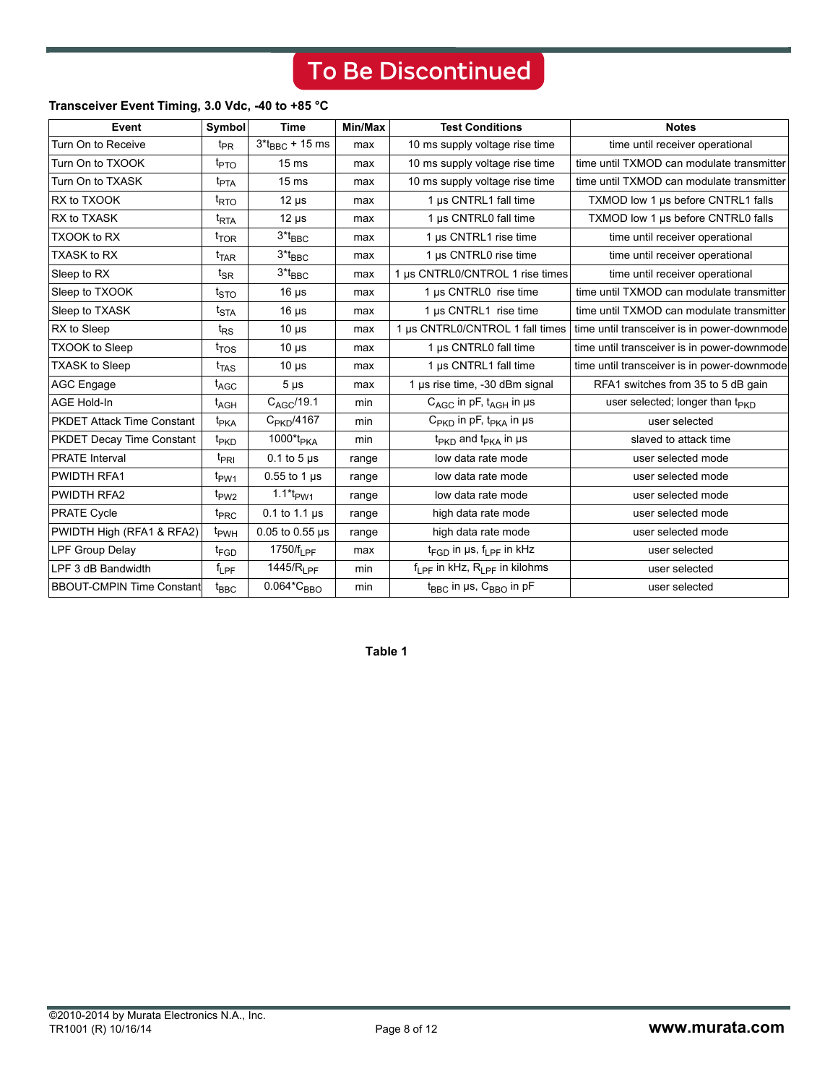#### **Transceiver Event Timing, 3.0 Vdc, -40 to +85 °C**

| Event                             | Symbol            | <b>Time</b>                           | Min/Max | <b>Test Conditions</b>                   | <b>Notes</b>                                |
|-----------------------------------|-------------------|---------------------------------------|---------|------------------------------------------|---------------------------------------------|
| Turn On to Receive                | $t_{PR}$          | $3*_{BBC} + 15$ ms                    | max     | 10 ms supply voltage rise time           | time until receiver operational             |
| Turn On to TXOOK                  | $t_{\text{PTO}}$  | 15 <sub>ms</sub>                      | max     | 10 ms supply voltage rise time           | time until TXMOD can modulate transmitter   |
| Turn On to TXASK                  | $t_{\text{PTA}}$  | 15 <sub>ms</sub>                      | max     | 10 ms supply voltage rise time           | time until TXMOD can modulate transmitter   |
| RX to TXOOK                       | $t_{\text{RTO}}$  | $12 \mu s$                            | max     | 1 µs CNTRL1 fall time                    | TXMOD low 1 µs before CNTRL1 falls          |
| RX to TXASK                       | <sup>t</sup> RTA  | $12 \mu s$                            | max     | 1 µs CNTRL0 fall time                    | TXMOD low 1 µs before CNTRL0 falls          |
| <b>TXOOK to RX</b>                | <sup>t</sup> TOR  | $3*$ t $_{BBC}$                       | max     | 1 µs CNTRL1 rise time                    | time until receiver operational             |
| <b>TXASK to RX</b>                | $t_{\text{TAR}}$  | $3*$ t <sub>BBC</sub>                 | max     | 1 µs CNTRL0 rise time                    | time until receiver operational             |
| Sleep to RX                       | $t_{\mathsf{SR}}$ | $3*$ t $_{BBC}$                       | max     | 1 µs CNTRL0/CNTROL 1 rise times          | time until receiver operational             |
| Sleep to TXOOK                    | t <sub>STO</sub>  | $16 \mu s$                            | max     | 1 µs CNTRL0 rise time                    | time until TXMOD can modulate transmitter   |
| Sleep to TXASK                    | $t_{\text{STA}}$  | $16 \mu s$                            | max     | 1 µs CNTRL1 rise time                    | time until TXMOD can modulate transmitter   |
| RX to Sleep                       | $t_{RS}$          | $10 \mu s$                            | max     | 1 µs CNTRL0/CNTROL 1 fall times          | time until transceiver is in power-downmode |
| <b>TXOOK to Sleep</b>             | $t_{\text{TOS}}$  | $10 \mu s$                            | max     | 1 µs CNTRL0 fall time                    | time until transceiver is in power-downmode |
| <b>TXASK to Sleep</b>             | $t_{\text{TAS}}$  | $10 \mu s$                            | max     | 1 µs CNTRL1 fall time                    | time until transceiver is in power-downmode |
| AGC Engage                        | $t_{\text{AGC}}$  | $5 \mu s$                             | max     | 1 µs rise time, -30 dBm signal           | RFA1 switches from 35 to 5 dB gain          |
| AGE Hold-In                       | $t_{AGH}$         | $C_{AGC}$ /19.1                       | min     | $C_{AGC}$ in pF, $t_{AGH}$ in $\mu s$    | user selected; longer than $t_{\text{PKD}}$ |
| <b>PKDET Attack Time Constant</b> | t <sub>PKA</sub>  | $C_{PKD}$ /4167                       | min     | $C_{PKD}$ in pF, $t_{PKA}$ in $\mu s$    | user selected                               |
| <b>PKDET Decay Time Constant</b>  | t <sub>PKD</sub>  | 1000*t <sub>PKA</sub>                 | min     | $t_{PKD}$ and $t_{PKA}$ in $\mu s$       | slaved to attack time                       |
| <b>PRATE</b> Interval             | t <sub>PRI</sub>  | $0.1$ to 5 $\mu$ s                    | range   | low data rate mode                       | user selected mode                          |
| <b>PWIDTH RFA1</b>                | t <sub>PW1</sub>  | $0.55$ to 1 $\mu$ s                   | range   | low data rate mode                       | user selected mode                          |
| <b>PWIDTH RFA2</b>                | t <sub>PW2</sub>  | 1.1 $*_{FWM}$                         | range   | low data rate mode                       | user selected mode                          |
| <b>PRATE Cycle</b>                | t <sub>PRC</sub>  | $0.1$ to 1.1 $\mu$ s                  | range   | high data rate mode                      | user selected mode                          |
| PWIDTH High (RFA1 & RFA2)         | t <sub>PWH</sub>  | $0.05$ to $0.55$ µs                   | range   | high data rate mode                      | user selected mode                          |
| LPF Group Delay                   | t <sub>FGD</sub>  | 1750/ $f_{\rm 1\,PF}$                 | max     | $t_{FGD}$ in $\mu s$ , $t_{IPF}$ in kHz  | user selected                               |
| LPF 3 dB Bandwidth                | $f_{LPF}$         | 1445/R <sub>LPF</sub>                 | min     | $f_{LPF}$ in kHz, $R_{LPF}$ in kilohms   | user selected                               |
| <b>BBOUT-CMPIN Time Constant</b>  | $t_{\text{BBC}}$  | $0.064$ <sup>*</sup> C <sub>BBO</sub> | min     | $t_{BBC}$ in $\mu s$ , $C_{BBO}$ in $pF$ | user selected                               |

**Table 1**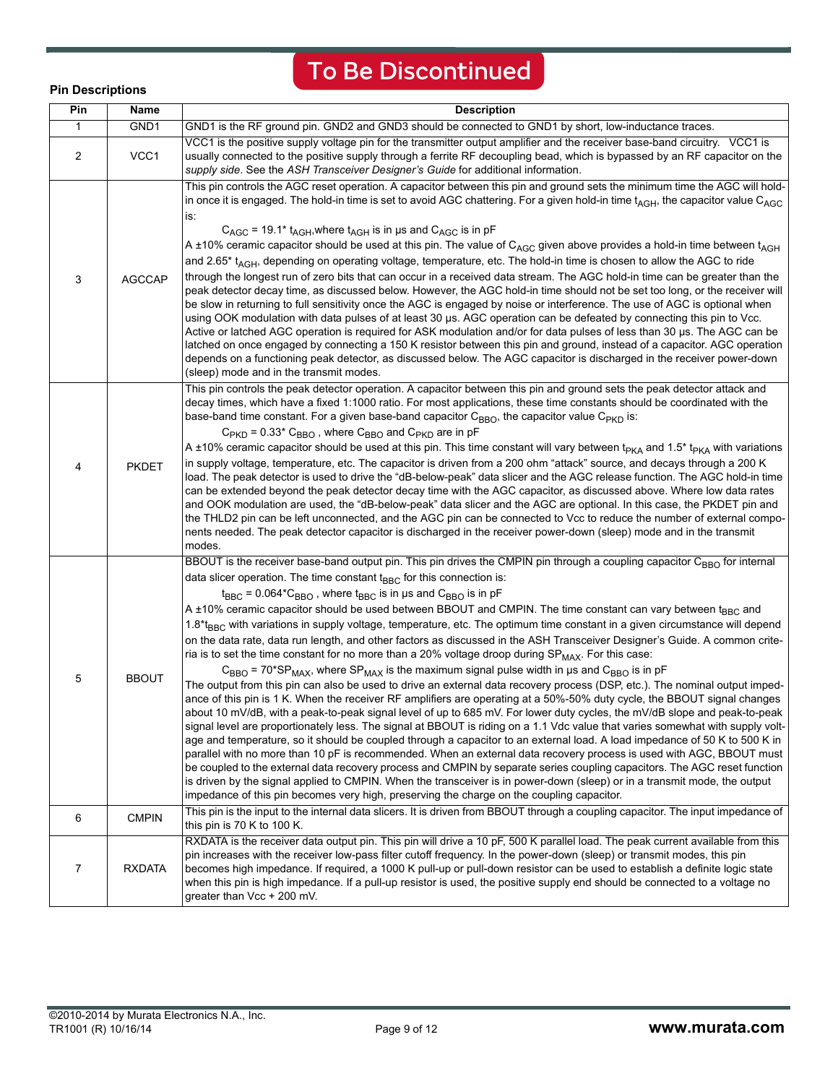#### **Pin Descriptions**

| Pin | Name             | <b>Description</b>                                                                                                                                                                                                                                                                                                                                                                                                                                                                                                                                                                                                                                                                                                                                                                                                                                                                                                                                                                                                                                                                                                                                                                                                                                                                                                                                                                                                                                                                                                                                                                                                                                                                                                                                                                                                                                                                                                                                                                                                                                                                                                   |
|-----|------------------|----------------------------------------------------------------------------------------------------------------------------------------------------------------------------------------------------------------------------------------------------------------------------------------------------------------------------------------------------------------------------------------------------------------------------------------------------------------------------------------------------------------------------------------------------------------------------------------------------------------------------------------------------------------------------------------------------------------------------------------------------------------------------------------------------------------------------------------------------------------------------------------------------------------------------------------------------------------------------------------------------------------------------------------------------------------------------------------------------------------------------------------------------------------------------------------------------------------------------------------------------------------------------------------------------------------------------------------------------------------------------------------------------------------------------------------------------------------------------------------------------------------------------------------------------------------------------------------------------------------------------------------------------------------------------------------------------------------------------------------------------------------------------------------------------------------------------------------------------------------------------------------------------------------------------------------------------------------------------------------------------------------------------------------------------------------------------------------------------------------------|
| 1   | GND1             | GND1 is the RF ground pin. GND2 and GND3 should be connected to GND1 by short, low-inductance traces.                                                                                                                                                                                                                                                                                                                                                                                                                                                                                                                                                                                                                                                                                                                                                                                                                                                                                                                                                                                                                                                                                                                                                                                                                                                                                                                                                                                                                                                                                                                                                                                                                                                                                                                                                                                                                                                                                                                                                                                                                |
| 2   | VCC <sub>1</sub> | VCC1 is the positive supply voltage pin for the transmitter output amplifier and the receiver base-band circuitry. VCC1 is<br>usually connected to the positive supply through a ferrite RF decoupling bead, which is bypassed by an RF capacitor on the<br>supply side. See the ASH Transceiver Designer's Guide for additional information.                                                                                                                                                                                                                                                                                                                                                                                                                                                                                                                                                                                                                                                                                                                                                                                                                                                                                                                                                                                                                                                                                                                                                                                                                                                                                                                                                                                                                                                                                                                                                                                                                                                                                                                                                                        |
| 3   | <b>AGCCAP</b>    | This pin controls the AGC reset operation. A capacitor between this pin and ground sets the minimum time the AGC will hold-<br>in once it is engaged. The hold-in time is set to avoid AGC chattering. For a given hold-in time t <sub>AGH</sub> , the capacitor value C <sub>AGC</sub><br>is:<br>$C_{AGC}$ = 19.1* t <sub>AGH</sub> , where t <sub>AGH</sub> is in us and $C_{AGC}$ is in pF<br>A ±10% ceramic capacitor should be used at this pin. The value of C <sub>AGC</sub> given above provides a hold-in time between t <sub>AGH</sub><br>and 2.65 <sup>*</sup> t <sub>AGH</sub> , depending on operating voltage, temperature, etc. The hold-in time is chosen to allow the AGC to ride<br>through the longest run of zero bits that can occur in a received data stream. The AGC hold-in time can be greater than the<br>peak detector decay time, as discussed below. However, the AGC hold-in time should not be set too long, or the receiver will<br>be slow in returning to full sensitivity once the AGC is engaged by noise or interference. The use of AGC is optional when<br>using OOK modulation with data pulses of at least 30 us. AGC operation can be defeated by connecting this pin to Vcc.<br>Active or latched AGC operation is required for ASK modulation and/or for data pulses of less than 30 µs. The AGC can be<br>latched on once engaged by connecting a 150 K resistor between this pin and ground, instead of a capacitor. AGC operation<br>depends on a functioning peak detector, as discussed below. The AGC capacitor is discharged in the receiver power-down<br>(sleep) mode and in the transmit modes.                                                                                                                                                                                                                                                                                                                                                                                                                                                               |
| 4   | <b>PKDET</b>     | This pin controls the peak detector operation. A capacitor between this pin and ground sets the peak detector attack and<br>decay times, which have a fixed 1:1000 ratio. For most applications, these time constants should be coordinated with the<br>base-band time constant. For a given base-band capacitor $C_{\text{BBO}}$ , the capacitor value $C_{\text{PKD}}$ is:<br>$C_{\text{PKD}}$ = 0.33* $C_{\text{BBO}}$ , where $C_{\text{BBO}}$ and $C_{\text{PKD}}$ are in pF<br>A ±10% ceramic capacitor should be used at this pin. This time constant will vary between t <sub>PKA</sub> and 1.5 <sup>*</sup> t <sub>PKA</sub> with variations<br>in supply voltage, temperature, etc. The capacitor is driven from a 200 ohm "attack" source, and decays through a 200 K<br>load. The peak detector is used to drive the "dB-below-peak" data slicer and the AGC release function. The AGC hold-in time<br>can be extended beyond the peak detector decay time with the AGC capacitor, as discussed above. Where low data rates<br>and OOK modulation are used, the "dB-below-peak" data slicer and the AGC are optional. In this case, the PKDET pin and<br>the THLD2 pin can be left unconnected, and the AGC pin can be connected to Vcc to reduce the number of external compo-<br>nents needed. The peak detector capacitor is discharged in the receiver power-down (sleep) mode and in the transmit<br>modes.                                                                                                                                                                                                                                                                                                                                                                                                                                                                                                                                                                                                                                                                                         |
| 5   | <b>BBOUT</b>     | BBOUT is the receiver base-band output pin. This pin drives the CMPIN pin through a coupling capacitor C <sub>BBO</sub> for internal<br>data slicer operation. The time constant t <sub>BBC</sub> for this connection is:<br>$t_{BBC}$ = 0.064* $C_{BBO}$ , where $t_{BBC}$ is in µs and $C_{BBO}$ is in pF<br>A ±10% ceramic capacitor should be used between BBOUT and CMPIN. The time constant can vary between t <sub>BBC</sub> and<br>1.8*t <sub>BBC</sub> with variations in supply voltage, temperature, etc. The optimum time constant in a given circumstance will depend<br>on the data rate, data run length, and other factors as discussed in the ASH Transceiver Designer's Guide. A common crite-<br>ria is to set the time constant for no more than a 20% voltage droop during SP <sub>MAX</sub> . For this case:<br>$C_{\text{BBO}}$ = 70*SP <sub>MAX</sub> , where SP <sub>MAX</sub> is the maximum signal pulse width in µs and C <sub>BBO</sub> is in pF<br>The output from this pin can also be used to drive an external data recovery process (DSP, etc.). The nominal output imped-<br>ance of this pin is 1 K. When the receiver RF amplifiers are operating at a 50%-50% duty cycle, the BBOUT signal changes<br>about 10 mV/dB, with a peak-to-peak signal level of up to 685 mV. For lower duty cycles, the mV/dB slope and peak-to-peak<br>signal level are proportionately less. The signal at BBOUT is riding on a 1.1 Vdc value that varies somewhat with supply volt-<br>age and temperature, so it should be coupled through a capacitor to an external load. A load impedance of 50 K to 500 K in<br>parallel with no more than 10 pF is recommended. When an external data recovery process is used with AGC, BBOUT must<br>be coupled to the external data recovery process and CMPIN by separate series coupling capacitors. The AGC reset function<br>is driven by the signal applied to CMPIN. When the transceiver is in power-down (sleep) or in a transmit mode, the output<br>impedance of this pin becomes very high, preserving the charge on the coupling capacitor. |
| 6   | <b>CMPIN</b>     | This pin is the input to the internal data slicers. It is driven from BBOUT through a coupling capacitor. The input impedance of<br>this pin is 70 K to 100 K.                                                                                                                                                                                                                                                                                                                                                                                                                                                                                                                                                                                                                                                                                                                                                                                                                                                                                                                                                                                                                                                                                                                                                                                                                                                                                                                                                                                                                                                                                                                                                                                                                                                                                                                                                                                                                                                                                                                                                       |
| 7   | <b>RXDATA</b>    | RXDATA is the receiver data output pin. This pin will drive a 10 pF, 500 K parallel load. The peak current available from this<br>pin increases with the receiver low-pass filter cutoff frequency. In the power-down (sleep) or transmit modes, this pin<br>becomes high impedance. If required, a 1000 K pull-up or pull-down resistor can be used to establish a definite logic state<br>when this pin is high impedance. If a pull-up resistor is used, the positive supply end should be connected to a voltage no<br>greater than Vcc + 200 mV.                                                                                                                                                                                                                                                                                                                                                                                                                                                                                                                                                                                                                                                                                                                                                                                                                                                                                                                                                                                                                                                                                                                                                                                                                                                                                                                                                                                                                                                                                                                                                                |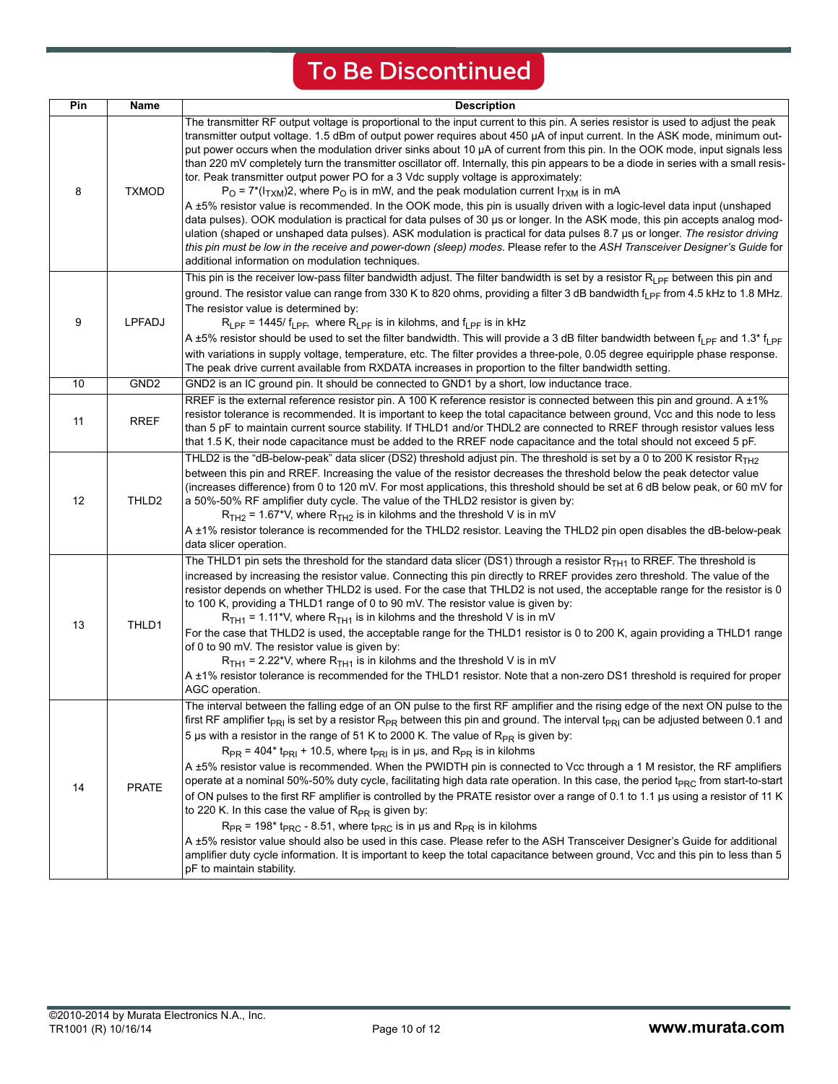| Pin             | Name                                                                                                                                                                                                                                                                                                                                                                                                                                                                                                                                                                      | <b>Description</b>                                                                                                                                                                                                                                                                                                                                                                                                                                                                                                                                                                                                                                                                                                                                                                                                                                                                                                                                                                                                                                                                                                                                                                                                                                                                                                                                                                                     |
|-----------------|---------------------------------------------------------------------------------------------------------------------------------------------------------------------------------------------------------------------------------------------------------------------------------------------------------------------------------------------------------------------------------------------------------------------------------------------------------------------------------------------------------------------------------------------------------------------------|--------------------------------------------------------------------------------------------------------------------------------------------------------------------------------------------------------------------------------------------------------------------------------------------------------------------------------------------------------------------------------------------------------------------------------------------------------------------------------------------------------------------------------------------------------------------------------------------------------------------------------------------------------------------------------------------------------------------------------------------------------------------------------------------------------------------------------------------------------------------------------------------------------------------------------------------------------------------------------------------------------------------------------------------------------------------------------------------------------------------------------------------------------------------------------------------------------------------------------------------------------------------------------------------------------------------------------------------------------------------------------------------------------|
| 8               | <b>TXMOD</b>                                                                                                                                                                                                                                                                                                                                                                                                                                                                                                                                                              | The transmitter RF output voltage is proportional to the input current to this pin. A series resistor is used to adjust the peak<br>transmitter output voltage. 1.5 dBm of output power requires about 450 µA of input current. In the ASK mode, minimum out-<br>put power occurs when the modulation driver sinks about 10 µA of current from this pin. In the OOK mode, input signals less<br>than 220 mV completely turn the transmitter oscillator off. Internally, this pin appears to be a diode in series with a small resis-<br>tor. Peak transmitter output power PO for a 3 Vdc supply voltage is approximately:<br>$P_{\rm O}$ = 7*( $I_{\rm TXM}$ )2, where $P_{\rm O}$ is in mW, and the peak modulation current $I_{\rm TXM}$ is in mA                                                                                                                                                                                                                                                                                                                                                                                                                                                                                                                                                                                                                                                   |
|                 | A ±5% resistor value is recommended. In the OOK mode, this pin is usually driven with a logic-level data input (unshaped<br>data pulses). OOK modulation is practical for data pulses of 30 us or longer. In the ASK mode, this pin accepts analog mod-<br>ulation (shaped or unshaped data pulses). ASK modulation is practical for data pulses 8.7 µs or longer. The resistor driving<br>this pin must be low in the receive and power-down (sleep) modes. Please refer to the ASH Transceiver Designer's Guide for<br>additional information on modulation techniques. |                                                                                                                                                                                                                                                                                                                                                                                                                                                                                                                                                                                                                                                                                                                                                                                                                                                                                                                                                                                                                                                                                                                                                                                                                                                                                                                                                                                                        |
| 9               | LPFADJ                                                                                                                                                                                                                                                                                                                                                                                                                                                                                                                                                                    | This pin is the receiver low-pass filter bandwidth adjust. The filter bandwidth is set by a resistor R <sub>LPF</sub> between this pin and<br>ground. The resistor value can range from 330 K to 820 ohms, providing a filter 3 dB bandwidth f <sub>LPF</sub> from 4.5 kHz to 1.8 MHz.<br>The resistor value is determined by:<br>$R_{\text{I PF}}$ = 1445/ f <sub>l PF</sub> , where $R_{\text{I PF}}$ is in kilohms, and f <sub>l PF</sub> is in kHz<br>A ±5% resistor should be used to set the filter bandwidth. This will provide a 3 dB filter bandwidth between f <sub>LPF</sub> and 1.3* f <sub>LPF</sub><br>with variations in supply voltage, temperature, etc. The filter provides a three-pole, 0.05 degree equiripple phase response.<br>The peak drive current available from RXDATA increases in proportion to the filter bandwidth setting.                                                                                                                                                                                                                                                                                                                                                                                                                                                                                                                                            |
| $\overline{10}$ | GND <sub>2</sub>                                                                                                                                                                                                                                                                                                                                                                                                                                                                                                                                                          | GND2 is an IC ground pin. It should be connected to GND1 by a short, low inductance trace.                                                                                                                                                                                                                                                                                                                                                                                                                                                                                                                                                                                                                                                                                                                                                                                                                                                                                                                                                                                                                                                                                                                                                                                                                                                                                                             |
| 11              | <b>RREF</b>                                                                                                                                                                                                                                                                                                                                                                                                                                                                                                                                                               | RREF is the external reference resistor pin. A 100 K reference resistor is connected between this pin and ground. A ±1%<br>resistor tolerance is recommended. It is important to keep the total capacitance between ground, Vcc and this node to less<br>than 5 pF to maintain current source stability. If THLD1 and/or THDL2 are connected to RREF through resistor values less<br>that 1.5 K, their node capacitance must be added to the RREF node capacitance and the total should not exceed 5 pF.                                                                                                                                                                                                                                                                                                                                                                                                                                                                                                                                                                                                                                                                                                                                                                                                                                                                                               |
| 12              | THLD2                                                                                                                                                                                                                                                                                                                                                                                                                                                                                                                                                                     | THLD2 is the "dB-below-peak" data slicer (DS2) threshold adjust pin. The threshold is set by a 0 to 200 K resistor $R_{TH2}$<br>between this pin and RREF. Increasing the value of the resistor decreases the threshold below the peak detector value<br>(increases difference) from 0 to 120 mV. For most applications, this threshold should be set at 6 dB below peak, or 60 mV for<br>a 50%-50% RF amplifier duty cycle. The value of the THLD2 resistor is given by:<br>$RTH2$ = 1.67*V, where $RTH2$ is in kilohms and the threshold V is in mV<br>A ±1% resistor tolerance is recommended for the THLD2 resistor. Leaving the THLD2 pin open disables the dB-below-peak<br>data slicer operation.                                                                                                                                                                                                                                                                                                                                                                                                                                                                                                                                                                                                                                                                                               |
| 13              | THLD1                                                                                                                                                                                                                                                                                                                                                                                                                                                                                                                                                                     | The THLD1 pin sets the threshold for the standard data slicer (DS1) through a resistor $R_{TH1}$ to RREF. The threshold is<br>increased by increasing the resistor value. Connecting this pin directly to RREF provides zero threshold. The value of the<br>resistor depends on whether THLD2 is used. For the case that THLD2 is not used, the acceptable range for the resistor is 0<br>to 100 K, providing a THLD1 range of 0 to 90 mV. The resistor value is given by:<br>$RTH1$ = 1.11*V, where $RTH1$ is in kilohms and the threshold V is in mV<br>For the case that THLD2 is used, the acceptable range for the THLD1 resistor is 0 to 200 K, again providing a THLD1 range<br>of 0 to 90 mV. The resistor value is given by:<br>$RTH1$ = 2.22*V, where $RTH1$ is in kilohms and the threshold V is in mV<br>A ±1% resistor tolerance is recommended for the THLD1 resistor. Note that a non-zero DS1 threshold is required for proper<br>AGC operation.                                                                                                                                                                                                                                                                                                                                                                                                                                       |
| 14              | <b>PRATE</b>                                                                                                                                                                                                                                                                                                                                                                                                                                                                                                                                                              | The interval between the falling edge of an ON pulse to the first RF amplifier and the rising edge of the next ON pulse to the<br>first RF amplifier t <sub>PRI</sub> is set by a resistor R <sub>PR</sub> between this pin and ground. The interval t <sub>PRI</sub> can be adjusted between 0.1 and<br>5 µs with a resistor in the range of 51 K to 2000 K. The value of $R_{PR}$ is given by:<br>$R_{PR}$ = 404* t <sub>PRI</sub> + 10.5, where t <sub>PRI</sub> is in µs, and $R_{PR}$ is in kilohms<br>A ±5% resistor value is recommended. When the PWIDTH pin is connected to Vcc through a 1 M resistor, the RF amplifiers<br>operate at a nominal 50%-50% duty cycle, facilitating high data rate operation. In this case, the period t <sub>PRC</sub> from start-to-start<br>of ON pulses to the first RF amplifier is controlled by the PRATE resistor over a range of 0.1 to 1.1 µs using a resistor of 11 K<br>to 220 K. In this case the value of $R_{PR}$ is given by:<br>$R_{PR}$ = 198 <sup>*</sup> t <sub>PRC</sub> - 8.51, where t <sub>PRC</sub> is in µs and $R_{PR}$ is in kilohms<br>A ±5% resistor value should also be used in this case. Please refer to the ASH Transceiver Designer's Guide for additional<br>amplifier duty cycle information. It is important to keep the total capacitance between ground, Vcc and this pin to less than 5<br>pF to maintain stability. |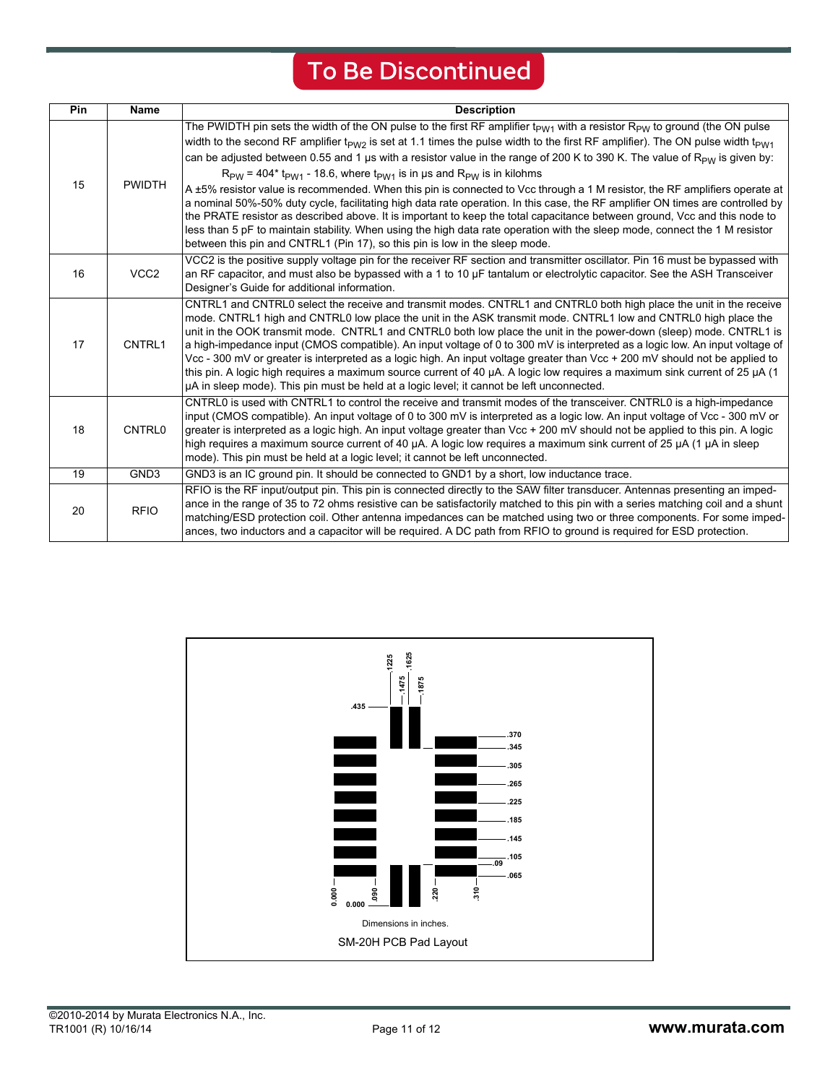| Pin | <b>Name</b>      | <b>Description</b>                                                                                                                                                                                                                                                                                                                                                                                                                                                                                                                                                                                                                                                                                                                                                                                                                                                                                                                                                                                                                                                                                                                                                    |
|-----|------------------|-----------------------------------------------------------------------------------------------------------------------------------------------------------------------------------------------------------------------------------------------------------------------------------------------------------------------------------------------------------------------------------------------------------------------------------------------------------------------------------------------------------------------------------------------------------------------------------------------------------------------------------------------------------------------------------------------------------------------------------------------------------------------------------------------------------------------------------------------------------------------------------------------------------------------------------------------------------------------------------------------------------------------------------------------------------------------------------------------------------------------------------------------------------------------|
| 15  | <b>PWIDTH</b>    | The PWIDTH pin sets the width of the ON pulse to the first RF amplifier t <sub>PW1</sub> with a resistor R <sub>PW</sub> to ground (the ON pulse<br>width to the second RF amplifier t <sub>PW2</sub> is set at 1.1 times the pulse width to the first RF amplifier). The ON pulse width t <sub>PW1</sub><br>can be adjusted between 0.55 and 1 µs with a resistor value in the range of 200 K to 390 K. The value of R <sub>PW</sub> is given by:<br>$R_{PW}$ = 404* t <sub>pW1</sub> - 18.6, where t <sub>pW1</sub> is in µs and $R_{PW}$ is in kilohms<br>A ±5% resistor value is recommended. When this pin is connected to Vcc through a 1 M resistor, the RF amplifiers operate at<br>a nominal 50%-50% duty cycle, facilitating high data rate operation. In this case, the RF amplifier ON times are controlled by<br>the PRATE resistor as described above. It is important to keep the total capacitance between ground, Vcc and this node to<br>less than 5 pF to maintain stability. When using the high data rate operation with the sleep mode, connect the 1 M resistor<br>between this pin and CNTRL1 (Pin 17), so this pin is low in the sleep mode. |
| 16  | VCC <sub>2</sub> | VCC2 is the positive supply voltage pin for the receiver RF section and transmitter oscillator. Pin 16 must be bypassed with<br>an RF capacitor, and must also be bypassed with a 1 to 10 µF tantalum or electrolytic capacitor. See the ASH Transceiver<br>Designer's Guide for additional information.                                                                                                                                                                                                                                                                                                                                                                                                                                                                                                                                                                                                                                                                                                                                                                                                                                                              |
| 17  | CNTRL1           | CNTRL1 and CNTRL0 select the receive and transmit modes. CNTRL1 and CNTRL0 both high place the unit in the receive<br>mode. CNTRL1 high and CNTRL0 low place the unit in the ASK transmit mode. CNTRL1 low and CNTRL0 high place the<br>unit in the OOK transmit mode. CNTRL1 and CNTRL0 both low place the unit in the power-down (sleep) mode. CNTRL1 is<br>a high-impedance input (CMOS compatible). An input voltage of 0 to 300 mV is interpreted as a logic low. An input voltage of<br>Vcc - 300 mV or greater is interpreted as a logic high. An input voltage greater than Vcc + 200 mV should not be applied to<br>this pin. A logic high requires a maximum source current of 40 µA. A logic low requires a maximum sink current of 25 µA (1<br>µA in sleep mode). This pin must be held at a logic level; it cannot be left unconnected.                                                                                                                                                                                                                                                                                                                  |
| 18  | <b>CNTRL0</b>    | CNTRL0 is used with CNTRL1 to control the receive and transmit modes of the transceiver. CNTRL0 is a high-impedance<br>input (CMOS compatible). An input voltage of 0 to 300 mV is interpreted as a logic low. An input voltage of Vcc - 300 mV or<br>greater is interpreted as a logic high. An input voltage greater than Vcc + 200 mV should not be applied to this pin. A logic<br>high requires a maximum source current of 40 µA. A logic low requires a maximum sink current of 25 µA (1 µA in sleep<br>mode). This pin must be held at a logic level; it cannot be left unconnected.                                                                                                                                                                                                                                                                                                                                                                                                                                                                                                                                                                          |
| 19  | GND <sub>3</sub> | GND3 is an IC ground pin. It should be connected to GND1 by a short, low inductance trace.                                                                                                                                                                                                                                                                                                                                                                                                                                                                                                                                                                                                                                                                                                                                                                                                                                                                                                                                                                                                                                                                            |
| 20  | <b>RFIO</b>      | RFIO is the RF input/output pin. This pin is connected directly to the SAW filter transducer. Antennas presenting an imped-<br>ance in the range of 35 to 72 ohms resistive can be satisfactorily matched to this pin with a series matching coil and a shunt<br>matching/ESD protection coil. Other antenna impedances can be matched using two or three components. For some imped-<br>ances, two inductors and a capacitor will be required. A DC path from RFIO to ground is required for ESD protection.                                                                                                                                                                                                                                                                                                                                                                                                                                                                                                                                                                                                                                                         |